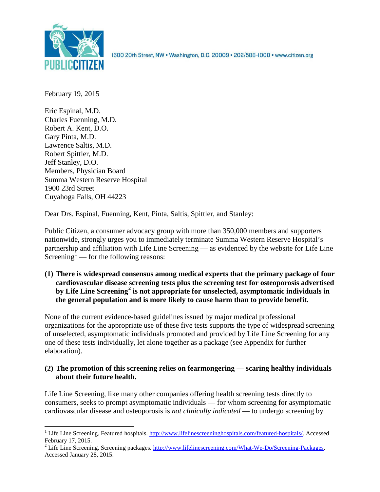

1600 20th Street, NW . Washington, D.C. 20009 . 202/588-1000 . www.citizen.org

February 19, 2015

Eric Espinal, M.D. Charles Fuenning, M.D. Robert A. Kent, D.O. Gary Pinta, M.D. Lawrence Saltis, M.D. Robert Spittler, M.D. Jeff Stanley, D.O. Members, Physician Board Summa Western Reserve Hospital 1900 23rd Street Cuyahoga Falls, OH 44223

Dear Drs. Espinal, Fuenning, Kent, Pinta, Saltis, Spittler, and Stanley:

Public Citizen, a consumer advocacy group with more than 350,000 members and supporters nationwide, strongly urges you to immediately terminate Summa Western Reserve Hospital's partnership and affiliation with Life Line Screening — as evidenced by the website for Life Line Screening<sup>[1](#page-0-0)</sup> — for the following reasons:

**(1) There is widespread consensus among medical experts that the primary package of four cardiovascular disease screening tests plus the screening test for osteoporosis advertised by Life Line Screening[2](#page-0-1) is not appropriate for unselected, asymptomatic individuals in the general population and is more likely to cause harm than to provide benefit.**

None of the current evidence-based guidelines issued by major medical professional organizations for the appropriate use of these five tests supports the type of widespread screening of unselected, asymptomatic individuals promoted and provided by Life Line Screening for any one of these tests individually, let alone together as a package (see Appendix for further elaboration).

# **(2) The promotion of this screening relies on fearmongering — scaring healthy individuals about their future health.**

Life Line Screening, like many other companies offering health screening tests directly to consumers, seeks to prompt asymptomatic individuals — for whom screening for asymptomatic cardiovascular disease and osteoporosis is *not clinically indicated* — to undergo screening by

<span id="page-0-0"></span><sup>&</sup>lt;sup>1</sup> Life Line Screening. Featured hospitals.  $\frac{http://www.lifelinescreeninghospitals.com/featured-hospitals/}{$ . Accessed February 17, 2015.

<span id="page-0-1"></span><sup>&</sup>lt;sup>2</sup> Life Line Screening. Screening packages. [http://www.lifelinescreening.com/What-We-Do/Screening-Packages.](http://www.lifelinescreening.com/What-We-Do/Screening-Packages) Accessed January 28, 2015.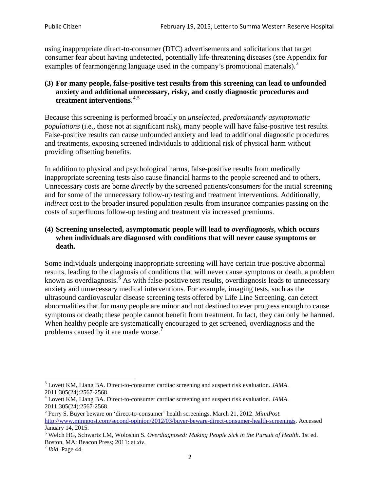using inappropriate direct-to-consumer (DTC) advertisements and solicitations that target consumer fear about having undetected, potentially life-threatening diseases (see Appendix for examples of fearmongering language used in the company's promotional materials).<sup>[3](#page-1-0)</sup>

# **(3) For many people, false-positive test results from this screening can lead to unfounded anxiety and additional unnecessary, risky, and costly diagnostic procedures and treatment interventions.**[4](#page-1-1),[5](#page-1-2)

Because this screening is performed broadly on *unselected, predominantly asymptomatic populations* (i.e., those not at significant risk), many people will have false**-**positive test results. False-positive results can cause unfounded anxiety and lead to additional diagnostic procedures and treatments, exposing screened individuals to additional risk of physical harm without providing offsetting benefits.

In addition to physical and psychological harms, false-positive results from medically inappropriate screening tests also cause financial harms to the people screened and to others. Unnecessary costs are borne *directly* by the screened patients/consumers for the initial screening and for some of the unnecessary follow-up testing and treatment interventions. Additionally, *indirect* cost to the broader insured population results from insurance companies passing on the costs of superfluous follow-up testing and treatment via increased premiums.

# **(4) Screening unselected, asymptomatic people will lead to** *overdiagnosis***, which occurs when individuals are diagnosed with conditions that will never cause symptoms or death.**

Some individuals undergoing inappropriate screening will have certain true-positive abnormal results, leading to the diagnosis of conditions that will never cause symptoms or death, a problem known as overdiagnosis.<sup>[6](#page-1-3)</sup> As with false-positive test results, overdiagnosis leads to unnecessary anxiety and unnecessary medical interventions. For example, imaging tests, such as the ultrasound cardiovascular disease screening tests offered by Life Line Screening, can detect abnormalities that for many people are minor and not destined to ever progress enough to cause symptoms or death; these people cannot benefit from treatment. In fact, they can only be harmed. When healthy people are systematically encouraged to get screened, overdiagnosis and the problems caused by it are made worse.

<span id="page-1-0"></span><sup>3</sup> Lovett KM, Liang BA. Direct-to-consumer cardiac screening and suspect risk evaluation. *JAMA*.

<span id="page-1-1"></span><sup>2011;305(24):2567-2568.</sup> <sup>4</sup> Lovett KM, Liang BA. Direct-to-consumer cardiac screening and suspect risk evaluation. *JAMA*.

<span id="page-1-2"></span><sup>2011;305(24):2567-2568.</sup> <sup>5</sup> Perry S. Buyer beware on 'direct-to-consumer' health screenings. March 21, 2012. *MinnPost.*  [http://www.minnpost.com/second-opinion/2012/03/buyer-beware-direct-consumer-health-screenings.](http://www.minnpost.com/second-opinion/2012/03/buyer-beware-direct-consumer-health-screenings) Accessed January 14, 2015.

<span id="page-1-3"></span><sup>6</sup> Welch HG, Schwartz LM, Woloshin S. *Overdiagnosed: Making People Sick in the Pursuit of Health*. 1st ed. Boston, MA: Beacon Press; 2011: at *xiv*. <sup>7</sup> *Ibid*. Page 44.

<span id="page-1-4"></span>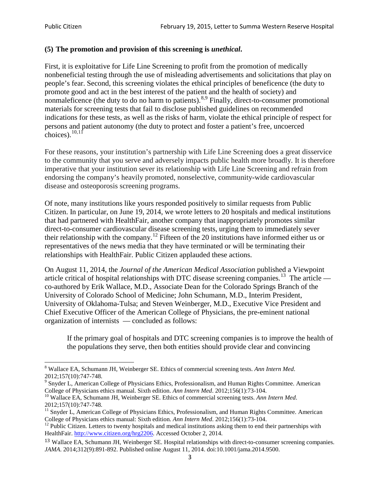### **(5) The promotion and provision of this screening is** *unethical***.**

First, it is exploitative for Life Line Screening to profit from the promotion of medically nonbeneficial testing through the use of misleading advertisements and solicitations that play on people's fear. Second, this screening violates the ethical principles of beneficence (the duty to promote good and act in the best interest of the patient and the health of society) and nonmaleficence (the duty to do no harm to patients).  $8.9$  $8.9$  $8.9$  Finally, direct-to-consumer promotional materials for screening tests that fail to disclose published guidelines on recommended indications for these tests, as well as the risks of harm, violate the ethical principle of respect for persons and patient autonomy (the duty to protect and foster a patient's free, uncoerced choices).  $^{10,11}$  $^{10,11}$  $^{10,11}$  $^{10,11}$ 

For these reasons, your institution's partnership with Life Line Screening does a great disservice to the community that you serve and adversely impacts public health more broadly. It is therefore imperative that your institution sever its relationship with Life Line Screening and refrain from endorsing the company's heavily promoted, nonselective, community**-**wide cardiovascular disease and osteoporosis screening programs.

Of note, many institutions like yours responded positively to similar requests from Public Citizen. In particular, on June 19, 2014, we wrote letters to 20 hospitals and medical institutions that had partnered with HealthFair, another company that inappropriately promotes similar direct-to-consumer cardiovascular disease screening tests, urging them to immediately sever their relationship with the company. [12](#page-2-4) Fifteen of the 20 institutions have informed either us or representatives of the news media that they have terminated or will be terminating their relationships with HealthFair. Public Citizen applauded these actions.

On August 11, 2014, the *Journal of the American Medical Association* published a Viewpoint article critical of hospital relationships with DTC disease screening companies.<sup>13</sup> The article co-authored by Erik Wallace, M.D., Associate Dean for the Colorado Springs Branch of the University of Colorado School of Medicine; John Schumann, M.D., Interim President, University of Oklahoma-Tulsa; and Steven Weinberger, M.D., Executive Vice President and Chief Executive Officer of the American College of Physicians, the pre**-**eminent national organization of internists — concluded as follows:

If the primary goal of hospitals and DTC screening companies is to improve the health of the populations they serve, then both entities should provide clear and convincing

<span id="page-2-0"></span><sup>8</sup> Wallace EA, Schumann JH, Weinberger SE. Ethics of commercial screening tests. *Ann Intern Med*.

<span id="page-2-1"></span><sup>2012;157(10):747-748.&</sup>lt;br><sup>9</sup> Snyder L, American College of Physicians Ethics, Professionalism, and Human Rights Committee. American College of Physicians ethics manual. Sixth edition. *Ann Intern Med.* 2012;156(1):73-104.

<span id="page-2-2"></span><sup>&</sup>lt;sup>10</sup> Wallace EA, Schumann JH, Weinberger SE. Ethics of commercial screening tests. *Ann Intern Med*. 2012;157(10):747-748.

<span id="page-2-3"></span> $11$  Snyder L, American College of Physicians Ethics, Professionalism, and Human Rights Committee. American College of Physicians ethics manual: Sixth edition. *Ann Intern Med*. 2012;156(1):73-104.<br><sup>12</sup> Public Citizen. Letters to twenty hospitals and medical institutions asking them to end their partnerships with

<span id="page-2-4"></span>HealthFair. [http://www.citizen.org/hrg2206.](http://www.citizen.org/hrg2206) Accessed October 2, 2014.

<span id="page-2-5"></span><sup>13</sup> Wallace EA, Schumann JH, Weinberger SE. Hospital relationships with direct-to-consumer screening companies. *JAMA*. 2014;312(9):891-892. Published online August 11, 2014. doi:10.1001/jama.2014.9500.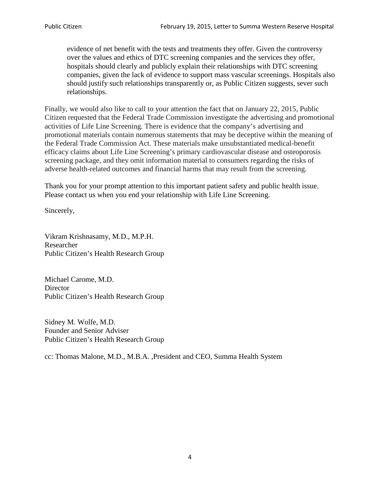evidence of net benefit with the tests and treatments they offer. Given the controversy over the values and ethics of DTC screening companies and the services they offer, hospitals should clearly and publicly explain their relationships with DTC screening companies, given the lack of evidence to support mass vascular screenings. Hospitals also should justify such relationships transparently or, as Public Citizen suggests, sever such relationships.

Finally, we would also like to call to your attention the fact that on January 22, 2015, Public Citizen requested that the Federal Trade Commission investigate the advertising and promotional activities of Life Line Screening. There is evidence that the company's advertising and promotional materials contain numerous statements that may be deceptive within the meaning of the Federal Trade Commission Act. These materials make unsubstantiated medical-benefit efficacy claims about Life Line Screening's primary cardiovascular disease and osteoporosis screening package, and they omit information material to consumers regarding the risks of adverse health-related outcomes and financial harms that may result from the screening.

Thank you for your prompt attention to this important patient safety and public health issue. Please contact us when you end your relationship with Life Line Screening.

Sincerely,

Vikram Krishnasamy, M.D., M.P.H. Researcher Public Citizen's Health Research Group

Michael Carome, M.D. Director Public Citizen's Health Research Group

Sidney M. Wolfe, M.D. Founder and Senior Adviser Public Citizen's Health Research Group

cc: Thomas Malone, M.D., M.B.A. ,President and CEO, Summa Health System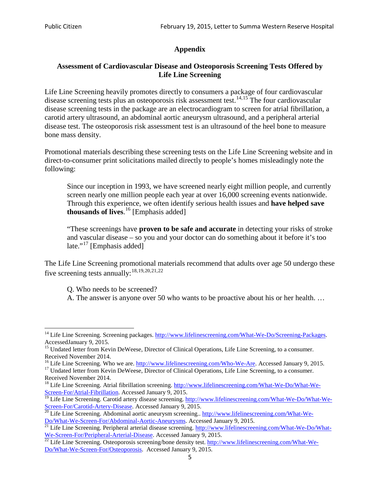# **Appendix**

### **Assessment of Cardiovascular Disease and Osteoporosis Screening Tests Offered by Life Line Screening**

Life Line Screening heavily promotes directly to consumers a package of four cardiovascular disease screening tests plus an osteoporosis risk assessment test.<sup>[14](#page-4-0),[15](#page-4-1)</sup> The four cardiovascular disease screening tests in the package are an electrocardiogram to screen for atrial fibrillation, a carotid artery ultrasound, an abdominal aortic aneurysm ultrasound, and a peripheral arterial disease test. The osteoporosis risk assessment test is an ultrasound of the heel bone to measure bone mass density.

Promotional materials describing these screening tests on the Life Line Screening website and in direct-to-consumer print solicitations mailed directly to people's homes misleadingly note the following:

Since our inception in 1993, we have screened nearly eight million people, and currently screen nearly one million people each year at over 16,000 screening events nationwide. Through this experience, we often identify serious health issues and **have helped save thousands of lives**. [16](#page-4-2) [Emphasis added]

"These screenings have **proven to be safe and accurate** in detecting your risks of stroke and vascular disease – so you and your doctor can do something about it before it's too late."<sup>[17](#page-4-3)</sup> [Emphasis added]

The Life Line Screening promotional materials recommend that adults over age 50 undergo these five screening tests annually:<sup>[18](#page-4-4),[19,](#page-4-5)[20,](#page-4-6)[21](#page-4-7),[22](#page-4-8)</sup>

Q. Who needs to be screened?

A. The answer is anyone over 50 who wants to be proactive about his or her health. …

Received November 2014.<br><sup>16</sup> Life Line Screening. Who we are. http://www.lifelinescreening.com/Who-We-Are. Accessed January 9, 2015.

<span id="page-4-3"></span><span id="page-4-2"></span><sup>17</sup> Undated letter from Kevin DeWeese, Director of Clinical Operations, Life Line Screening, to a consumer. Received November 2014.

<span id="page-4-0"></span><sup>&</sup>lt;sup>14</sup> Life Line Screening. Screening packages. [http://www.lifelinescreening.com/What-We-Do/Screening-Packages.](http://www.lifelinescreening.com/What-We-Do/Screening-Packages) AccessedJanuary 9, 2015.

<span id="page-4-1"></span><sup>&</sup>lt;sup>15</sup> Undated letter from Kevin DeWeese, Director of Clinical Operations, Life Line Screening, to a consumer.

<span id="page-4-4"></span><sup>&</sup>lt;sup>18</sup> Life Line Screening. Atrial fibrillation screening. [http://www.lifelinescreening.com/What-We-Do/What-We-](http://www.lifelinescreening.com/What-We-Do/What-We-Screen-For/Atrial-Fibrillation)[Screen-For/Atrial-Fibrillation.](http://www.lifelinescreening.com/What-We-Do/What-We-Screen-For/Atrial-Fibrillation) Accessed January 9, 2015.

<sup>&</sup>lt;sup>19</sup> Life Line Screening. Carotid artery disease screening. [http://www.lifelinescreening.com/What-We-Do/What-We-](http://www.lifelinescreening.com/What-We-Do/What-We-Screen-For/Carotid-Artery-Disease)

<span id="page-4-6"></span><span id="page-4-5"></span>[Screen-For/Carotid-Artery-Disease.](http://www.lifelinescreening.com/What-We-Do/What-We-Screen-For/Carotid-Artery-Disease) Accessed January 9, 2015.<br><sup>20</sup> Life Line Screening. Abdominal aortic aneurysm screening.. http://www.lifelinescreening.com/What-We-Do/What-We-Do/What-We-Screen-For/Abdominal-Aortic-Aneury

<span id="page-4-7"></span><sup>&</sup>lt;sup>21</sup> Life Line Screening. Peripheral arterial disease screening. [http://www.lifelinescreening.com/What-We-Do/What-](http://www.lifelinescreening.com/What-We-Do/What-We-Screen-For/Peripheral-Arterial-Disease)

<span id="page-4-8"></span>[We-Screen-For/Peripheral-Arterial-Disease.](http://www.lifelinescreening.com/What-We-Do/What-We-Screen-For/Peripheral-Arterial-Disease) Accessed January 9, 2015.<br><sup>22</sup> Life Line Screening. Osteoporosis screening/bone density test. [http://www.lifelinescreening.com/What-We-](http://www.lifelinescreening.com/What-We-Do/What-We-Screen-For/Osteoporosis)[Do/What-We-Screen-For/Osteoporosis.](http://www.lifelinescreening.com/What-We-Do/What-We-Screen-For/Osteoporosis) Accessed January 9, 2015.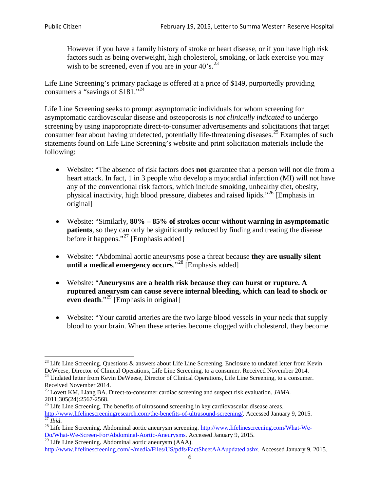However if you have a family history of stroke or heart disease, or if you have high risk factors such as being overweight, high cholesterol, smoking, or lack exercise you may wish to be screened, even if you are in your  $40^\circ$ s.<sup>[23](#page-5-0)</sup>

Life Line Screening's primary package is offered at a price of \$149, purportedly providing consumers a "savings of \$181."[24](#page-5-1)

Life Line Screening seeks to prompt asymptomatic individuals for whom screening for asymptomatic cardiovascular disease and osteoporosis is *not clinically indicated* to undergo screening by using inappropriate direct-to-consumer advertisements and solicitations that target consumer fear about having undetected, potentially life-threatening diseases.<sup>[25](#page-5-2)</sup> Examples of such statements found on Life Line Screening's website and print solicitation materials include the following:

- Website: "The absence of risk factors does **not** guarantee that a person will not die from a heart attack. In fact, 1 in 3 people who develop a myocardial infarction (MI) will not have any of the conventional risk factors, which include smoking, unhealthy diet, obesity, physical inactivity, high blood pressure, diabetes and raised lipids."[26](#page-5-3) [Emphasis in original]
- Website: "Similarly, **80% – 85% of strokes occur without warning in asymptomatic patients**, so they can only be significantly reduced by finding and treating the disease before it happens."<sup>[27](#page-5-4)</sup> [Emphasis added]
- Website: "Abdominal aortic aneurysms pose a threat because **they are usually silent until a medical emergency occurs**."[28](#page-5-5) [Emphasis added]
- Website: "**Aneurysms are a health risk because they can burst or rupture. A ruptured aneurysm can cause severe internal bleeding, which can lead to shock or even death.**"<sup>[29](#page-5-6)</sup> [Emphasis in original]
- Website: "Your carotid arteries are the two large blood vessels in your neck that supply blood to your brain. When these arteries become clogged with cholesterol, they become

<span id="page-5-0"></span><sup>&</sup>lt;sup>23</sup> Life Line Screening. Questions  $\&$  answers about Life Line Screening. Enclosure to undated letter from Kevin DeWeese, Director of Clinical Operations, Life Line Screening, to a consumer. Received November 2014.

<span id="page-5-1"></span><sup>&</sup>lt;sup>24</sup> Undated letter from Kevin DeWeese, Director of Clinical Operations, Life Line Screening, to a consumer. Received November 2014.

<span id="page-5-2"></span><sup>25</sup> Lovett KM, Liang BA. Direct-to-consumer cardiac screening and suspect risk evaluation. *JAMA*.  $2011;305(24):2567-2568$ .<br><sup>26</sup> Life Line Screening. The benefits of ultrasound screening in key cardiovascular disease areas.

<span id="page-5-3"></span>[http://www.lifelinescreeningresearch.com/the-benefits-of-ultrasound-screening/.](http://www.lifelinescreeningresearch.com/the-benefits-of-ultrasound-screening/) Accessed January 9, 2015.<br><sup>28</sup> Life Line Screening. Abdominal aortic aneurysm screening. http://www.lifelinescreening.com/What-We-<sup>28</sup>

<span id="page-5-5"></span><span id="page-5-4"></span>[Do/What-We-Screen-For/Abdominal-Aortic-Aneurysms.](http://www.lifelinescreening.com/What-We-Do/What-We-Screen-For/Abdominal-Aortic-Aneurysms) Accessed January 9, 2015. <sup>29</sup> Life Line Screening. Abdominal aortic aneurysm (AAA).

<span id="page-5-6"></span>[http://www.lifelinescreening.com/~/media/Files/US/pdfs/FactSheetAAAupdated.ashx.](http://www.lifelinescreening.com/~/media/Files/US/pdfs/FactSheetAAAupdated.ashx) Accessed January 9, 2015.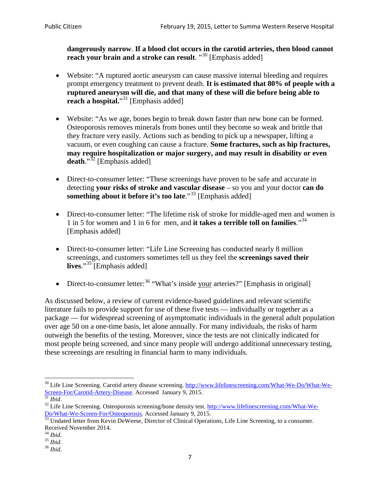**dangerously narrow**. **If a blood clot occurs in the carotid arteries, then blood cannot reach your brain and a stroke can result**. "<sup>[30](#page-6-0)</sup> [Emphasis added]

- Website: "A ruptured aortic aneurysm can cause massive internal bleeding and requires prompt emergency treatment to prevent death. **It is estimated that 80% of people with a ruptured aneurysm will die, and that many of these will die before being able to reach a hospital.**"<sup>[31](#page-6-1)</sup> [Emphasis added]
- Website: "As we age, bones begin to break down faster than new bone can be formed. Osteoporosis removes minerals from bones until they become so weak and brittle that they fracture very easily. Actions such as bending to pick up a newspaper, lifting a vacuum, or even coughing can cause a fracture. **Some fractures, such as hip fractures, may require hospitalization or major surgery, and may result in disability or even**  death."<sup>[32](#page-6-2)</sup> [Emphasis added]
- Direct-to-consumer letter: "These screenings have proven to be safe and accurate in detecting **your risks of stroke and vascular disease** – so you and your doctor **can do something about it before it's too late.**"<sup>[33](#page-6-3)</sup> [Emphasis added]
- Direct-to-consumer letter: "The lifetime risk of stroke for middle-aged men and women is 1 in 5 for women and 1 in 6 for men, and **it takes a terrible toll on families**."[34](#page-6-4) [Emphasis added]
- Direct-to-consumer letter: "Life Line Screening has conducted nearly 8 million screenings, and customers sometimes tell us they feel the **screenings saved their lives**."[35](#page-6-5) [Emphasis added]
- Direct-to-consumer letter:  $36$  "What's inside your arteries?" [Emphasis in original]

As discussed below, a review of current evidence-based guidelines and relevant scientific literature fails to provide support for use of these five tests — individually or together as a package — for widespread screening of asymptomatic individuals in the general adult population over age 50 on a one-time basis, let alone annually. For many individuals, the risks of harm outweigh the benefits of the testing. Moreover, since the tests are not clinically indicated for most people being screened, and since many people will undergo additional unnecessary testing, these screenings are resulting in financial harm to many individuals.

<span id="page-6-0"></span><sup>&</sup>lt;sup>30</sup> Life Line Screening. Carotid artery disease screening. [http://www.lifelinescreening.com/What-We-Do/What-We-](http://www.lifelinescreening.com/What-We-Do/What-We-Screen-For/Carotid-Artery-Disease)[Screen-For/Carotid-Artery-Disease.](http://www.lifelinescreening.com/What-We-Do/What-We-Screen-For/Carotid-Artery-Disease) Accessed January 9, 2015.<br><sup>31</sup> *Ibid.* 32 Life Line Screening. Osteoporosis screening/bone density test. [http://www.lifelinescreening.com/What-We-](http://www.lifelinescreening.com/What-We-Do/What-We-Screen-For/Osteoporosis)

<span id="page-6-2"></span><span id="page-6-1"></span>[Do/What-We-Screen-For/Osteoporosis.](http://www.lifelinescreening.com/What-We-Do/What-We-Screen-For/Osteoporosis) Accessed January 9, 2015. <sup>33</sup> Undated letter from Kevin DeWeese, Director of Clinical Operations, Life Line Screening, to a consumer.

<span id="page-6-3"></span>Received November 2014.<br><sup>34</sup> Ibid.

<span id="page-6-4"></span>

<span id="page-6-5"></span><sup>34</sup> *Ibid*. 35 *Ibid*. 36 *Ibid*.

<span id="page-6-6"></span>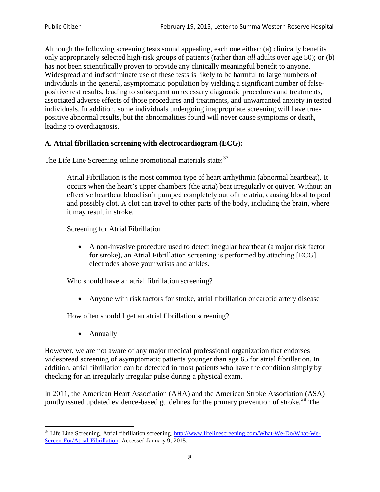Although the following screening tests sound appealing, each one either: (a) clinically benefits only appropriately selected high-risk groups of patients (rather than *all* adults over age 50); or (b) has not been scientifically proven to provide any clinically meaningful benefit to anyone. Widespread and indiscriminate use of these tests is likely to be harmful to large numbers of individuals in the general, asymptomatic population by yielding a significant number of falsepositive test results, leading to subsequent unnecessary diagnostic procedures and treatments, associated adverse effects of those procedures and treatments, and unwarranted anxiety in tested individuals. In addition, some individuals undergoing inappropriate screening will have truepositive abnormal results, but the abnormalities found will never cause symptoms or death, leading to overdiagnosis.

# **A. Atrial fibrillation screening with electrocardiogram (ECG):**

The Life Line Screening online promotional materials state:<sup>[37](#page-7-0)</sup>

Atrial Fibrillation is the most common type of heart arrhythmia (abnormal heartbeat). It occurs when the heart's upper chambers (the atria) beat irregularly or quiver. Without an effective heartbeat blood isn't pumped completely out of the atria, causing blood to pool and possibly clot. A clot can travel to other parts of the body, including the brain, where it may result in stroke.

Screening for Atrial Fibrillation

• A non-invasive procedure used to detect irregular heartbeat (a major risk factor for stroke), an Atrial Fibrillation screening is performed by attaching [ECG] electrodes above your wrists and ankles.

Who should have an atrial fibrillation screening?

• Anyone with risk factors for stroke, atrial fibrillation or carotid artery disease

How often should I get an atrial fibrillation screening?

• Annually

<span id="page-7-1"></span>However, we are not aware of any major medical professional organization that endorses widespread screening of asymptomatic patients younger than age 65 for atrial fibrillation. In addition, atrial fibrillation can be detected in most patients who have the condition simply by checking for an irregularly irregular pulse during a physical exam.

In 2011, the American Heart Association (AHA) and the American Stroke Association (ASA) jointly issued updated evidence-based guidelines for the primary prevention of stroke.<sup>[38](#page-7-1)</sup> The

<span id="page-7-0"></span><sup>&</sup>lt;sup>37</sup> Life Line Screening. Atrial fibrillation screening. [http://www.lifelinescreening.com/What-We-Do/What-We-](http://www.lifelinescreening.com/What-We-Do/What-We-Screen-For/Atrial-Fibrillation)[Screen-For/Atrial-Fibrillation.](http://www.lifelinescreening.com/What-We-Do/What-We-Screen-For/Atrial-Fibrillation) Accessed January 9, 2015.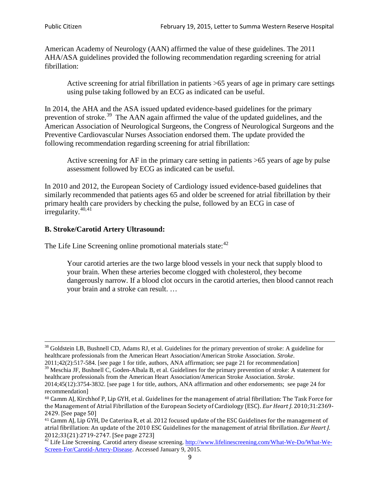American Academy of Neurology (AAN) affirmed the value of these guidelines. The 2011 AHA/ASA guidelines provided the following recommendation regarding screening for atrial fibrillation:

Active screening for atrial fibrillation in patients >65 years of age in primary care settings using pulse taking followed by an ECG as indicated can be useful.

In 2014, the AHA and the ASA issued updated evidence-based guidelines for the primary prevention of stroke.<sup>[39](#page-8-0)</sup> The AAN again affirmed the value of the updated guidelines, and the American Association of Neurological Surgeons, the Congress of Neurological Surgeons and the Preventive Cardiovascular Nurses Association endorsed them. The update provided the following recommendation regarding screening for atrial fibrillation:

Active screening for AF in the primary care setting in patients >65 years of age by pulse assessment followed by ECG as indicated can be useful.

In 2010 and 2012, the European Society of Cardiology issued evidence-based guidelines that similarly recommended that patients ages 65 and older be screened for atrial fibrillation by their primary health care providers by checking the pulse, followed by an ECG in case of irregularity. $40,41$  $40,41$ 

# **B. Stroke/Carotid Artery Ultrasound:**

The Life Line Screening online promotional materials state:<sup>[42](#page-8-3)</sup>

Your carotid arteries are the two large blood vessels in your neck that supply blood to your brain. When these arteries become clogged with cholesterol, they become dangerously narrow. If a blood clot occurs in the carotid arteries, then blood cannot reach your brain and a stroke can result. …

<sup>&</sup>lt;sup>38</sup> Goldstein LB, Bushnell CD, Adams RJ, et al. Guidelines for the primary prevention of stroke: A guideline for healthcare professionals from the American Heart Association/American Stroke Association. *Stroke*.

<sup>2011;42(2):517-584.</sup> [see page 1 for title, authors, ANA affirmation; see page 21 for recommendation]

<span id="page-8-0"></span> $\frac{2011,42(2)(317,601)}{39}$  Meschia JF, Bushnell C, Goden-Albala B, et al. Guidelines for the primary prevention of stroke: A statement for healthcare professionals from the American Heart Association/American Stroke Association. *Stroke*.

<sup>2014;45(12):3754-3832.</sup> [see page 1 for title, authors, ANA affirmation and other endorsements; see page 24 for recommendation]

<span id="page-8-1"></span><sup>40</sup> Camm AJ, Kirchhof P, Lip GYH, et al. Guidelines for the management of atrial fibrillation: The Task Force for the Management of Atrial Fibrillation of the European Society of Cardiology (ESC). *Eur Heart J*. 2010;31:2369- 2429. [See page 50]

<span id="page-8-2"></span><sup>41</sup> Camm AJ, Lip GYH, De Caterina R, et al. 2012 focused update of the ESC Guidelines for the management of atrial fibrillation: An update of the 2010 ESC Guidelines for the management of atrial fibrillation. *Eur Heart J*.

<span id="page-8-3"></span><sup>&</sup>lt;sup>2012</sup>;23(21):2719-2747. [See page 273] 42 Life Line Screening. [http://www.lifelinescreening.com/What-We-Do/What-We-](http://www.lifelinescreening.com/What-We-Do/What-We-Screen-For/Carotid-Artery-Disease)[Screen-For/Carotid-Artery-Disease.](http://www.lifelinescreening.com/What-We-Do/What-We-Screen-For/Carotid-Artery-Disease) Accessed January 9, 2015.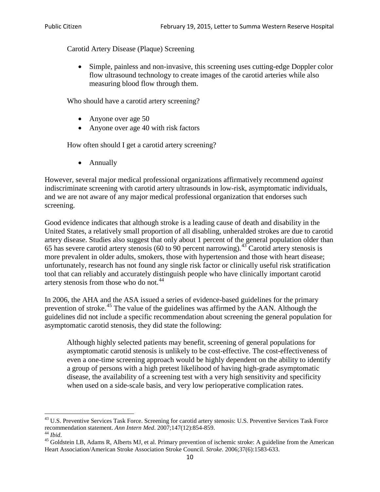Carotid Artery Disease (Plaque) Screening

• Simple, painless and non-invasive, this screening uses cutting-edge Doppler color flow ultrasound technology to create images of the carotid arteries while also measuring blood flow through them.

Who should have a carotid artery screening?

- Anyone over age 50
- Anyone over age 40 with risk factors

How often should I get a carotid artery screening?

• Annually

However, several major medical professional organizations affirmatively recommend *against* indiscriminate screening with carotid artery ultrasounds in low-risk, asymptomatic individuals, and we are not aware of any major medical professional organization that endorses such screening.

Good evidence indicates that although stroke is a leading cause of death and disability in the United States, a relatively small proportion of all disabling, unheralded strokes are due to carotid artery disease. Studies also suggest that only about 1 percent of the general population older than 65 has severe carotid artery stenosis (60 to 90 percent narrowing).<sup>[43](#page-9-0)</sup> Carotid artery stenosis is more prevalent in older adults, smokers, those with hypertension and those with heart disease; unfortunately, research has not found any single risk factor or clinically useful risk stratification tool that can reliably and accurately distinguish people who have clinically important carotid artery stenosis from those who do not.<sup>[44](#page-9-1)</sup>

In 2006, the AHA and the ASA issued a series of evidence-based guidelines for the primary prevention of stroke.[45](#page-9-2) The value of the guidelines was affirmed by the AAN. Although the guidelines did not include a specific recommendation about screening the general population for asymptomatic carotid stenosis, they did state the following:

Although highly selected patients may benefit, screening of general populations for asymptomatic carotid stenosis is unlikely to be cost-effective. The cost-effectiveness of even a one-time screening approach would be highly dependent on the ability to identify a group of persons with a high pretest likelihood of having high-grade asymptomatic disease, the availability of a screening test with a very high sensitivity and specificity when used on a side-scale basis, and very low perioperative complication rates.

<span id="page-9-0"></span> $^{43}$  U.S. Preventive Services Task Force. Screening for carotid artery stenosis: U.S. Preventive Services Task Force recommendation statement. Ann Intern Med. 2007;147(12):854-859.

<span id="page-9-2"></span><span id="page-9-1"></span><sup>&</sup>lt;sup>44</sup> *Ibid*. <sup>45</sup> Goldstein LB, Adams R, Alberts MJ, et al. Primary prevention of ischemic stroke: A guideline from the American <sup>45</sup> Goldstein LB, Adams R, Alberts MJ, et al. Primary prevention of ischemic stroke: A guide Heart Association/American Stroke Association Stroke Council. *Stroke*. 2006;37(6):1583-633.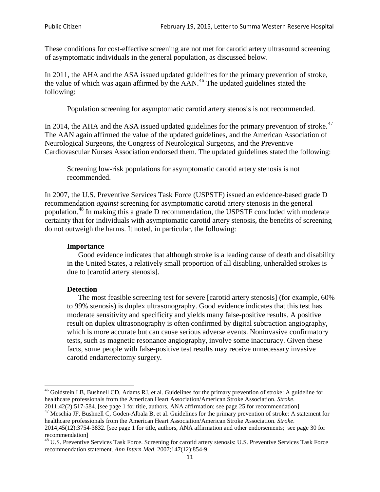These conditions for cost-effective screening are not met for carotid artery ultrasound screening of asymptomatic individuals in the general population, as discussed below.

In 2011, the AHA and the ASA issued updated guidelines for the primary prevention of stroke, the value of which was again affirmed by the  $AAN<sup>46</sup>$  $AAN<sup>46</sup>$  $AAN<sup>46</sup>$ . The updated guidelines stated the following:

Population screening for asymptomatic carotid artery stenosis is not recommended.

In 2014, the AHA and the ASA issued updated guidelines for the primary prevention of stroke.<sup>47</sup> The AAN again affirmed the value of the updated guidelines, and the American Association of Neurological Surgeons, the Congress of Neurological Surgeons, and the Preventive Cardiovascular Nurses Association endorsed them. The updated guidelines stated the following:

Screening low-risk populations for asymptomatic carotid artery stenosis is not recommended.

In 2007, the U.S. Preventive Services Task Force (USPSTF) issued an evidence-based grade D recommendation *against* screening for asymptomatic carotid artery stenosis in the general population.[48](#page-10-2) In making this a grade D recommendation, the USPSTF concluded with moderate certainty that for individuals with asymptomatic carotid artery stenosis, the benefits of screening do not outweigh the harms. It noted, in particular, the following:

### **Importance**

Good evidence indicates that although stroke is a leading cause of death and disability in the United States, a relatively small proportion of all disabling, unheralded strokes is due to [carotid artery stenosis].

# **Detection**

The most feasible screening test for severe [carotid artery stenosis] (for example, 60% to 99% stenosis) is duplex ultrasonography. Good evidence indicates that this test has moderate sensitivity and specificity and yields many false-positive results. A positive result on duplex ultrasonography is often confirmed by digital subtraction angiography, which is more accurate but can cause serious adverse events. Noninvasive confirmatory tests, such as magnetic resonance angiography, involve some inaccuracy. Given these facts, some people with false-positive test results may receive unnecessary invasive carotid endarterectomy surgery.

<span id="page-10-0"></span><sup>&</sup>lt;sup>46</sup> Goldstein LB, Bushnell CD, Adams RJ, et al. Guidelines for the primary prevention of stroke: A guideline for healthcare professionals from the American Heart Association/American Stroke Association. *Stroke*.<br>2011;42(2):517-584. [see page 1 for title, authors, ANA affirmation; see page 25 for recommendation]

<span id="page-10-1"></span><sup>&</sup>lt;sup>47</sup> Meschia JF, Bushnell C, Goden-Albala B, et al. Guidelines for the primary prevention of stroke: A statement for healthcare professionals from the American Heart Association/American Stroke Association. *Stroke*. 2014;45(12):3754-3832. [see page 1 for title, authors, ANA affirmation and other endorsements; see page 30 for

recommendation]

<span id="page-10-2"></span><sup>&</sup>lt;sup>48</sup> U.S. Preventive Services Task Force. Screening for carotid artery stenosis: U.S. Preventive Services Task Force recommendation statement. *Ann Intern Med*. 2007;147(12):854-9.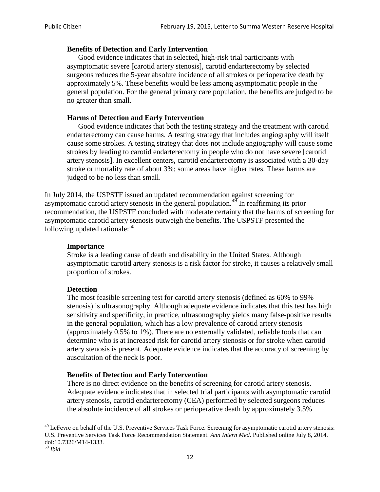### **Benefits of Detection and Early Intervention**

Good evidence indicates that in selected, high-risk trial participants with asymptomatic severe [carotid artery stenosis], carotid endarterectomy by selected surgeons reduces the 5-year absolute incidence of all strokes or perioperative death by approximately 5%. These benefits would be less among asymptomatic people in the general population. For the general primary care population, the benefits are judged to be no greater than small.

### **Harms of Detection and Early Intervention**

Good evidence indicates that both the testing strategy and the treatment with carotid endarterectomy can cause harms. A testing strategy that includes angiography will itself cause some strokes. A testing strategy that does not include angiography will cause some strokes by leading to carotid endarterectomy in people who do not have severe [carotid artery stenosis]. In excellent centers, carotid endarterectomy is associated with a 30-day stroke or mortality rate of about 3%; some areas have higher rates. These harms are judged to be no less than small.

In July 2014, the USPSTF issued an updated recommendation against screening for asymptomatic carotid artery stenosis in the general population.<sup>[49](#page-11-0)</sup> In reaffirming its prior recommendation, the USPSTF concluded with moderate certainty that the harms of screening for asymptomatic carotid artery stenosis outweigh the benefits. The USPSTF presented the following updated rationale: $50$ 

#### **Importance**

Stroke is a leading cause of death and disability in the United States. Although asymptomatic carotid artery stenosis is a risk factor for stroke, it causes a relatively small proportion of strokes.

#### **Detection**

The most feasible screening test for carotid artery stenosis (defined as 60% to 99% stenosis) is ultrasonography. Although adequate evidence indicates that this test has high sensitivity and specificity, in practice, ultrasonography yields many false-positive results in the general population, which has a low prevalence of carotid artery stenosis (approximately 0.5% to 1%). There are no externally validated, reliable tools that can determine who is at increased risk for carotid artery stenosis or for stroke when carotid artery stenosis is present. Adequate evidence indicates that the accuracy of screening by auscultation of the neck is poor.

# **Benefits of Detection and Early Intervention**

There is no direct evidence on the benefits of screening for carotid artery stenosis. Adequate evidence indicates that in selected trial participants with asymptomatic carotid artery stenosis, carotid endarterectomy (CEA) performed by selected surgeons reduces the absolute incidence of all strokes or perioperative death by approximately 3.5%

<span id="page-11-0"></span><sup>&</sup>lt;sup>49</sup> LeFevre on behalf of the U.S. Preventive Services Task Force. Screening for asymptomatic carotid artery stenosis: U.S. Preventive Services Task Force Recommendation Statement. *Ann Intern Med*. Published online July 8, 2014. doi:10.7326/M14-1333. <sup>50</sup> *Ibid*.

<span id="page-11-1"></span>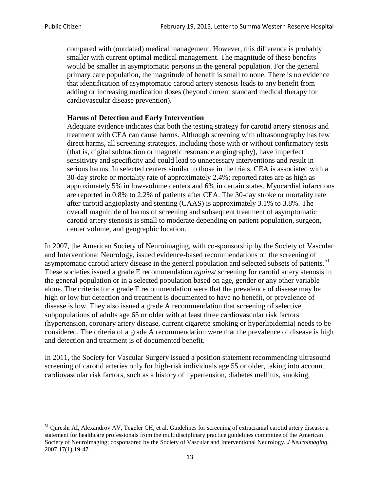compared with (outdated) medical management. However, this difference is probably smaller with current optimal medical management. The magnitude of these benefits would be smaller in asymptomatic persons in the general population. For the general primary care population, the magnitude of benefit is small to none. There is no evidence that identification of asymptomatic carotid artery stenosis leads to any benefit from adding or increasing medication doses (beyond current standard medical therapy for cardiovascular disease prevention).

# **Harms of Detection and Early Intervention**

Adequate evidence indicates that both the testing strategy for carotid artery stenosis and treatment with CEA can cause harms. Although screening with ultrasonography has few direct harms, all screening strategies, including those with or without confirmatory tests (that is, digital subtraction or magnetic resonance angiography), have imperfect sensitivity and specificity and could lead to unnecessary interventions and result in serious harms. In selected centers similar to those in the trials, CEA is associated with a 30-day stroke or mortality rate of approximately 2.4%; reported rates are as high as approximately 5% in low-volume centers and 6% in certain states. Myocardial infarctions are reported in 0.8% to 2.2% of patients after CEA. The 30-day stroke or mortality rate after carotid angioplasty and stenting (CAAS) is approximately 3.1% to 3.8%. The overall magnitude of harms of screening and subsequent treatment of asymptomatic carotid artery stenosis is small to moderate depending on patient population, surgeon, center volume, and geographic location.

In 2007, the American Society of Neuroimaging, with co-sponsorship by the Society of Vascular and Interventional Neurology, issued evidence-based recommendations on the screening of asymptomatic carotid artery disease in the general population and selected subsets of patients.<sup>[51](#page-12-0)</sup> These societies issued a grade E recommendation *against* screening for carotid artery stenosis in the general population or in a selected population based on age, gender or any other variable alone. The criteria for a grade E recommendation were that the prevalence of disease may be high or low but detection and treatment is documented to have no benefit, or prevalence of disease is low. They also issued a grade A recommendation that screening of selective subpopulations of adults age 65 or older with at least three cardiovascular risk factors (hypertension, coronary artery disease, current cigarette smoking or hyperlipidemia) needs to be considered. The criteria of a grade A recommendation were that the prevalence of disease is high and detection and treatment is of documented benefit.

In 2011, the Society for Vascular Surgery issued a position statement recommending ultrasound screening of carotid arteries only for high-risk individuals age 55 or older, taking into account cardiovascular risk factors, such as a history of hypertension, diabetes mellitus, smoking,

<span id="page-12-0"></span><sup>&</sup>lt;sup>51</sup> Qureshi AI, Alexandrov AV, Tegeler CH, et al. Guidelines for screening of extracranial carotid artery disease: a statement for healthcare professionals from the multidisciplinary practice guidelines committee of the American Society of Neuroimaging; cosponsored by the Society of Vascular and Interventional Neurology. *J Neuroimaging*. 2007;17(1):19-47.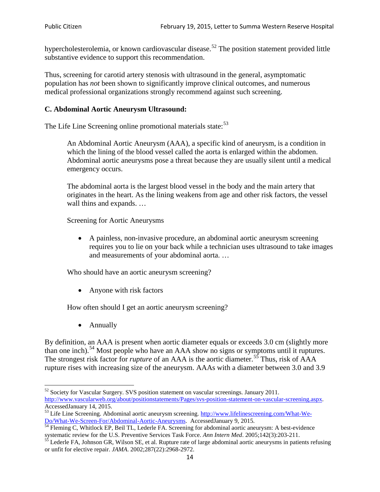hypercholesterolemia, or known cardiovascular disease.<sup>[52](#page-13-0)</sup> The position statement provided little substantive evidence to support this recommendation.

Thus, screening for carotid artery stenosis with ultrasound in the general, asymptomatic population has *not* been shown to significantly improve clinical outcomes, and numerous medical professional organizations strongly recommend against such screening.

### **C. Abdominal Aortic Aneurysm Ultrasound:**

The Life Line Screening online promotional materials state:<sup>[53](#page-13-1)</sup>

An Abdominal Aortic Aneurysm (AAA), a specific kind of aneurysm, is a condition in which the lining of the blood vessel called the aorta is enlarged within the abdomen. Abdominal aortic aneurysms pose a threat because they are usually silent until a medical emergency occurs.

The abdominal aorta is the largest blood vessel in the body and the main artery that originates in the heart. As the lining weakens from age and other risk factors, the vessel wall thins and expands. …

Screening for Aortic Aneurysms

• A painless, non-invasive procedure, an abdominal aortic aneurysm screening requires you to lie on your back while a technician uses ultrasound to take images and measurements of your abdominal aorta. …

Who should have an aortic aneurysm screening?

• Anyone with risk factors

How often should I get an aortic aneurysm screening?

• Annually

By definition, an AAA is present when aortic diameter equals or exceeds 3.0 cm (slightly more than one inch).<sup>[54](#page-13-2)</sup> Most people who have an AAA show no signs or symptoms until it ruptures. The strongest risk factor for *rupture* of an AAA is the aortic diameter.<sup>[55](#page-13-3)</sup> Thus, risk of AAA rupture rises with increasing size of the aneurysm. AAAs with a diameter between 3.0 and 3.9

<span id="page-13-0"></span><sup>&</sup>lt;sup>52</sup> Society for Vascular Surgery. SVS position statement on vascular screenings. January 2011. http://www.vascularweb.org/about/positionstatements/Pages/svs-position-statement-on-vascular-screening.aspx.<br>Accessed January 14, 2015.

<span id="page-13-1"></span>Accessed January 14, 2015.<br>
Sa Life Line Screening. Abdominal aortic aneurysm screening. http://www.lifelinescreening.com/What-We-<br>
Do/What-We-Screen-For/Abdominal-Aortic-Aneurysms. Accessed January 9, 2015.

<span id="page-13-2"></span> $\frac{54}{9}$  Fleming C, Whitlock EP, Beil TL, Lederle FA. Screening for abdominal aortic aneurysm: A best-evidence systematic review for the U.S. Preventive Services Task Force. *Ann Intern Med.* 2005;142(3):203-211.<br><sup>55</sup> Lederle FA, Johnson GR, Wilson SE, et al. Rupture rate of large abdominal aortic aneurysms in patients refusing

<span id="page-13-3"></span>or unfit for elective repair. *JAMA*. 2002;287(22):2968-2972.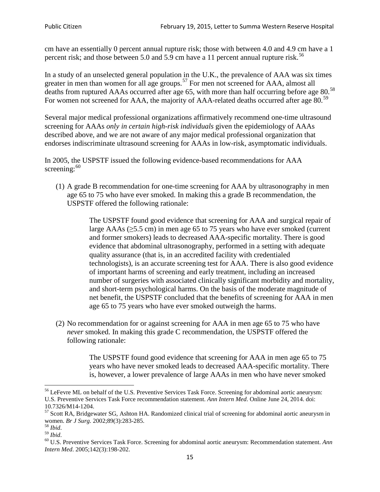cm have an essentially 0 percent annual rupture risk; those with between 4.0 and 4.9 cm have a 1 percent risk; and those between 5.0 and 5.9 cm have a 11 percent annual rupture risk.<sup>[56](#page-14-0)</sup>

In a study of an unselected general population in the U.K., the prevalence of AAA was six times greater in men than women for all age groups.<sup>[57](#page-14-1)</sup> For men not screened for  $AAA$ , almost all deaths from ruptured AAAs occurred after age 65, with more than half occurring before age 80.<sup>[58](#page-14-2)</sup> For women not screened for AAA, the majority of AAA-related deaths occurred after age 80.<sup>[59](#page-14-3)</sup>

Several major medical professional organizations affirmatively recommend one-time ultrasound screening for AAAs *only in certain high-risk individuals* given the epidemiology of AAAs described above, and we are not aware of any major medical professional organization that endorses indiscriminate ultrasound screening for AAAs in low-risk, asymptomatic individuals.

In 2005, the USPSTF issued the following evidence-based recommendations for AAA screening:  $60$ 

(1) A grade B recommendation for one-time screening for AAA by ultrasonography in men age 65 to 75 who have ever smoked. In making this a grade [B recommendation,](http://www.uspreventiveservicestaskforce.org/uspstf/gradespre.htm#brec) the USPSTF offered the following rationale:

> The USPSTF found good evidence that screening for AAA and surgical repair of large AAAs ( $\geq$ 5.5 cm) in men age 65 to 75 years who have ever smoked (current and former smokers) leads to decreased AAA-specific mortality. There is good evidence that abdominal ultrasonography, performed in a setting with adequate quality assurance (that is, in an accredited facility with credentialed technologists), is an accurate screening test for AAA. There is also good evidence of important harms of screening and early treatment, including an increased number of surgeries with associated clinically significant morbidity and mortality, and short-term psychological harms. On the basis of the moderate magnitude of net benefit, the USPSTF concluded that the benefits of screening for AAA in men age 65 to 75 years who have ever smoked outweigh the harms.

(2) No recommendation for or against screening for AAA in men age 65 to 75 who have *never* smoked. In making this grade C recommendation, the USPSTF offered the following rationale:

> The USPSTF found good evidence that screening for AAA in men age 65 to 75 years who have never smoked leads to decreased AAA-specific mortality. There is, however, a lower prevalence of large AAAs in men who have never smoked

<span id="page-14-0"></span><sup>&</sup>lt;sup>56</sup> LeFevre ML on behalf of the U.S. Preventive Services Task Force. Screening for abdominal aortic aneurysm: U.S. Preventive Services Task Force recommendation statement. *Ann Intern Med*. Online June 24, 2014. doi:

<span id="page-14-1"></span><sup>10.7326/</sup>M14-1204.<br> $57$  Scott RA, Bridgewater SG, Ashton HA. Randomized clinical trial of screening for abdominal aortic aneurysm in women. *Br J Surg.* 2002;89(3):283-285.

<span id="page-14-4"></span><span id="page-14-3"></span>

<span id="page-14-2"></span><sup>&</sup>lt;sup>58</sup> *Ibid.*<br><sup>59</sup> *Ibid.* 2002;<br><sup>60</sup> U.S. Preventive Services Task Force. Screening for abdominal aortic aneurysm: Recommendation statement. *Ann Intern Med*. 2005;142(3):198-202.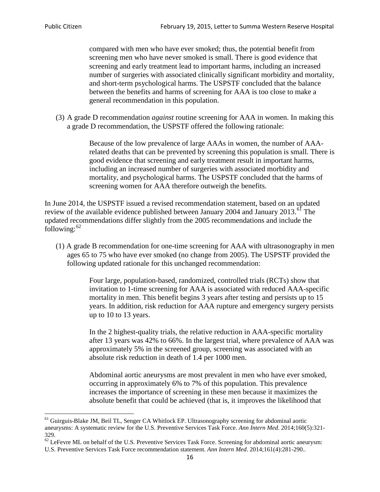compared with men who have ever smoked; thus, the potential benefit from screening men who have never smoked is small. There is good evidence that screening and early treatment lead to important harms, including an increased number of surgeries with associated clinically significant morbidity and mortality, and short-term psychological harms. The USPSTF concluded that the balance between the benefits and harms of screening for AAA is too close to make a general recommendation in this population.

(3) A grade D recommendation *against* routine screening for AAA in women. In making this a grade D recommendation, the USPSTF offered the following rationale:

> Because of the low prevalence of large AAAs in women, the number of AAArelated deaths that can be prevented by screening this population is small. There is good evidence that screening and early treatment result in important harms, including an increased number of surgeries with associated morbidity and mortality, and psychological harms. The USPSTF concluded that the harms of screening women for AAA therefore outweigh the benefits.

In June 2014, the USPSTF issued a revised recommendation statement, based on an updated review of the available evidence published between January 2004 and January 2013.<sup>[61](#page-15-0)</sup> The updated recommendations differ slightly from the 2005 recommendations and include the following: $62$ 

(1) A grade B recommendation for one-time screening for AAA with ultrasonography in men ages 65 to 75 who have ever smoked (no change from 2005). The USPSTF provided the following updated rationale for this unchanged recommendation:

> Four large, population-based, randomized, controlled trials (RCTs) show that invitation to 1-time screening for AAA is associated with reduced AAA-specific mortality in men. This benefit begins 3 years after testing and persists up to 15 years. In addition, risk reduction for AAA rupture and emergency surgery persists up to 10 to 13 years.

> In the 2 highest-quality trials, the relative reduction in AAA-specific mortality after 13 years was 42% to 66%. In the largest trial, where prevalence of AAA was approximately 5% in the screened group, screening was associated with an absolute risk reduction in death of 1.4 per 1000 men.

Abdominal aortic aneurysms are most prevalent in men who have ever smoked, occurring in approximately 6% to 7% of this population. This prevalence increases the importance of screening in these men because it maximizes the absolute benefit that could be achieved (that is, it improves the likelihood that

<span id="page-15-0"></span><sup>61</sup> Guirguis-Blake JM, Beil TL, Senger CA Whitlock EP. Ultrasonography screening for abdominal aortic aneurysms: A systematic review for the U.S. Preventive Services Task Force. *Ann Intern Med*. 2014;160(5):321- 329.

<span id="page-15-1"></span> $62$  LeFevre ML on behalf of the U.S. Preventive Services Task Force. Screening for abdominal aortic aneurysm: U.S. Preventive Services Task Force recommendation statement. *Ann Intern Med*. 2014;161(4):281-290..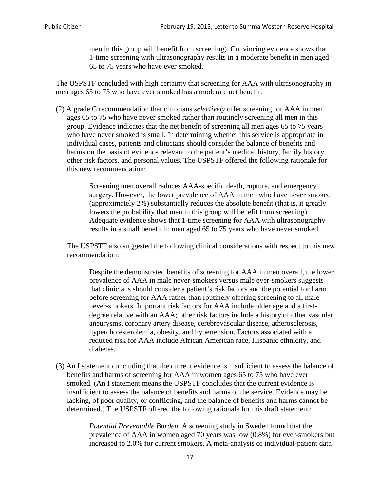men in this group will benefit from screening). Convincing evidence shows that 1-time screening with ultrasonography results in a moderate benefit in men aged 65 to 75 years who have ever smoked.

The USPSTF concluded with high certainty that screening for AAA with ultrasonography in men ages 65 to 75 who have ever smoked has a moderate net benefit.

(2) A grade C recommendation that clinicians *selectively* offer screening for AAA in men ages 65 to 75 who have never smoked rather than routinely screening all men in this group. Evidence indicates that the net benefit of screening all men ages 65 to 75 years who have never smoked is small. In determining whether this service is appropriate in individual cases, patients and clinicians should consider the balance of benefits and harms on the basis of evidence relevant to the patient's medical history, family history, other risk factors, and personal values. The USPSTF offered the following rationale for this new recommendation:

> Screening men overall reduces AAA-specific death, rupture, and emergency surgery. However, the lower prevalence of AAA in men who have never smoked (approximately 2%) substantially reduces the absolute benefit (that is, it greatly lowers the probability that men in this group will benefit from screening). Adequate evidence shows that 1-time screening for AAA with ultrasonography results in a small benefit in men aged 65 to 75 years who have never smoked.

The USPSTF also suggested the following clinical considerations with respect to this new recommendation:

Despite the demonstrated benefits of screening for AAA in men overall, the lower prevalence of AAA in male never-smokers versus male ever-smokers suggests that clinicians should consider a patient's risk factors and the potential for harm before screening for AAA rather than routinely offering screening to all male never-smokers. Important risk factors for AAA include older age and a firstdegree relative with an AAA; other risk factors include a history of other vascular aneurysms, coronary artery disease, cerebrovascular disease, atherosclerosis, hypercholesterolemia, obesity, and hypertension. Factors associated with a reduced risk for AAA include African American race, Hispanic ethnicity, and diabetes.

(3) An I statement concluding that the current evidence is insufficient to assess the balance of benefits and harms of screening for AAA in women ages 65 to 75 who have ever smoked. (An I statement means the USPSTF concludes that the current evidence is insufficient to assess the balance of benefits and harms of the service. Evidence may be lacking, of poor quality, or conflicting, and the balance of benefits and harms cannot be determined.) The USPSTF offered the following rationale for this draft statement:

> *Potential Preventable Burden.* A screening study in Sweden found that the prevalence of AAA in women aged 70 years was low (0.8%) for ever-smokers but increased to 2.0% for current smokers. A meta-analysis of individual-patient data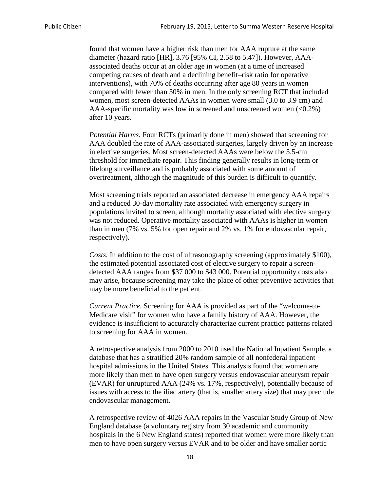found that women have a higher risk than men for AAA rupture at the same diameter (hazard ratio [HR], 3.76 [95% CI, 2.58 to 5.47]). However, AAAassociated deaths occur at an older age in women (at a time of increased competing causes of death and a declining benefit–risk ratio for operative interventions), with 70% of deaths occurring after age 80 years in women compared with fewer than 50% in men. In the only screening RCT that included women, most screen-detected AAAs in women were small (3.0 to 3.9 cm) and AAA-specific mortality was low in screened and unscreened women (<0.2%) after 10 years.

*Potential Harms.* Four RCTs (primarily done in men) showed that screening for AAA doubled the rate of AAA-associated surgeries, largely driven by an increase in elective surgeries. Most screen-detected AAAs were below the 5.5-cm threshold for immediate repair. This finding generally results in long-term or lifelong surveillance and is probably associated with some amount of overtreatment, although the magnitude of this burden is difficult to quantify.

Most screening trials reported an associated decrease in emergency AAA repairs and a reduced 30-day mortality rate associated with emergency surgery in populations invited to screen, although mortality associated with elective surgery was not reduced. Operative mortality associated with AAAs is higher in women than in men (7% vs. 5% for open repair and 2% vs. 1% for endovascular repair, respectively).

*Costs.* In addition to the cost of ultrasonography screening (approximately \$100), the estimated potential associated cost of elective surgery to repair a screendetected AAA ranges from \$37 000 to \$43 000. Potential opportunity costs also may arise, because screening may take the place of other preventive activities that may be more beneficial to the patient.

*Current Practice.* Screening for AAA is provided as part of the "welcome-to-Medicare visit" for women who have a family history of AAA. However, the evidence is insufficient to accurately characterize current practice patterns related to screening for AAA in women.

A retrospective analysis from 2000 to 2010 used the National Inpatient Sample, a database that has a stratified 20% random sample of all nonfederal inpatient hospital admissions in the United States. This analysis found that women are more likely than men to have open surgery versus endovascular aneurysm repair (EVAR) for unruptured AAA (24% vs. 17%, respectively), potentially because of issues with access to the iliac artery (that is, smaller artery size) that may preclude endovascular management.

A retrospective review of 4026 AAA repairs in the Vascular Study Group of New England database (a voluntary registry from 30 academic and community hospitals in the 6 New England states) reported that women were more likely than men to have open surgery versus EVAR and to be older and have smaller aortic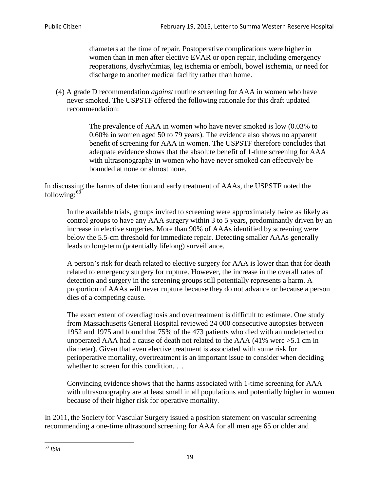diameters at the time of repair. Postoperative complications were higher in women than in men after elective EVAR or open repair, including emergency reoperations, dysrhythmias, leg ischemia or emboli, bowel ischemia, or need for discharge to another medical facility rather than home.

(4) A grade D recommendation *against* routine screening for AAA in women who have never smoked. The USPSTF offered the following rationale for this draft updated recommendation:

> The prevalence of AAA in women who have never smoked is low (0.03% to 0.60% in women aged 50 to 79 years). The evidence also shows no apparent benefit of screening for AAA in women. The USPSTF therefore concludes that adequate evidence shows that the absolute benefit of 1-time screening for AAA with ultrasonography in women who have never smoked can effectively be bounded at none or almost none.

In discussing the harms of detection and early treatment of AAAs, the USPSTF noted the following: $63$ 

In the available trials, groups invited to screening were approximately twice as likely as control groups to have any AAA surgery within 3 to 5 years, predominantly driven by an increase in elective surgeries. More than 90% of AAAs identified by screening were below the 5.5-cm threshold for immediate repair. Detecting smaller AAAs generally leads to long-term (potentially lifelong) surveillance.

A person's risk for death related to elective surgery for AAA is lower than that for death related to emergency surgery for rupture. However, the increase in the overall rates of detection and surgery in the screening groups still potentially represents a harm. A proportion of AAAs will never rupture because they do not advance or because a person dies of a competing cause.

The exact extent of overdiagnosis and overtreatment is difficult to estimate. One study from Massachusetts General Hospital reviewed 24 000 consecutive autopsies between 1952 and 1975 and found that 75% of the 473 patients who died with an undetected or unoperated AAA had a cause of death not related to the AAA (41% were >5.1 cm in diameter). Given that even elective treatment is associated with some risk for perioperative mortality, overtreatment is an important issue to consider when deciding whether to screen for this condition....

Convincing evidence shows that the harms associated with 1-time screening for AAA with ultrasonography are at least small in all populations and potentially higher in women because of their higher risk for operative mortality.

In 2011, the Society for Vascular Surgery issued a position statement on vascular screening recommending a one-time ultrasound screening for AAA for all men age 65 or older and

<span id="page-18-0"></span><sup>63</sup> *Ibid*.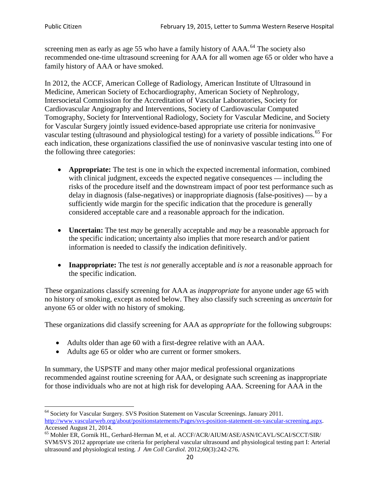screening men as early as age 55 who have a family history of AAA.<sup>[64](#page-19-0)</sup> The society also recommended one-time ultrasound screening for AAA for all women age 65 or older who have a family history of AAA or have smoked.

In 2012, the ACCF, American College of Radiology, American Institute of Ultrasound in Medicine, American Society of Echocardiography, American Society of Nephrology, Intersocietal Commission for the Accreditation of Vascular Laboratories, Society for Cardiovascular Angiography and Interventions, Society of Cardiovascular Computed Tomography, Society for Interventional Radiology, Society for Vascular Medicine, and Society for Vascular Surgery jointly issued evidence-based appropriate use criteria for noninvasive vascular testing (ultrasound and physiological testing) for a variety of possible indications.<sup>[65](#page-19-1)</sup> For each indication, these organizations classified the use of noninvasive vascular testing into one of the following three categories:

- **Appropriate:** The test is one in which the expected incremental information, combined with clinical judgment, exceeds the expected negative consequences — including the risks of the procedure itself and the downstream impact of poor test performance such as delay in diagnosis (false-negatives) or inappropriate diagnosis (false-positives) — by a sufficiently wide margin for the specific indication that the procedure is generally considered acceptable care and a reasonable approach for the indication.
- **Uncertain:** The test *may* be generally acceptable and *may* be a reasonable approach for the specific indication; uncertainty also implies that more research and/or patient information is needed to classify the indication definitively.
- **Inappropriate:** The test *is not* generally acceptable and *is not* a reasonable approach for the specific indication.

These organizations classify screening for AAA as *inappropriate* for anyone under age 65 with no history of smoking, except as noted below. They also classify such screening as *uncertain* for anyone 65 or older with no history of smoking.

These organizations did classify screening for AAA as *appropriate* for the following subgroups:

- Adults older than age 60 with a first-degree relative with an AAA.
- Adults age 65 or older who are current or former smokers.

In summary, the USPSTF and many other major medical professional organizations recommended against routine screening for AAA, or designate such screening as inappropriate for those individuals who are not at high risk for developing AAA. Screening for AAA in the

<span id="page-19-0"></span><sup>64</sup> Society for Vascular Surgery. SVS Position Statement on Vascular Screenings. January 2011. [http://www.vascularweb.org/about/positionstatements/Pages/svs-position-statement-on-vascular-screening.aspx.](http://www.vascularweb.org/about/positionstatements/Pages/svs-position-statement-on-vascular-screening.aspx) 

<span id="page-19-1"></span>Accessed August 21, 2014.<br><sup>65</sup> Mohler ER, Gornik HL, Gerhard-Herman M, et al. ACCF/ACR/AIUM/ASE/ASN/ICAVL/SCAI/SCCT/SIR/ SVM/SVS 2012 appropriate use criteria for peripheral vascular ultrasound and physiological testing part I: Arterial ultrasound and physiological testing*. J Am Coll Cardiol*. 2012;60(3):242-276.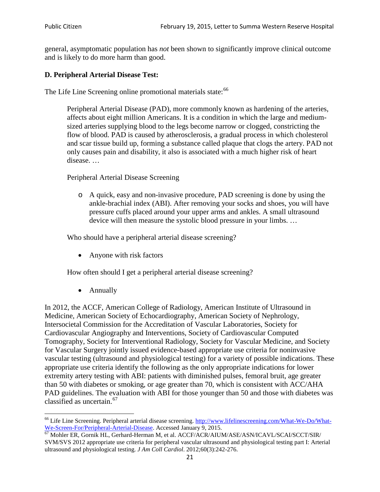general, asymptomatic population has *not* been shown to significantly improve clinical outcome and is likely to do more harm than good.

### **D. Peripheral Arterial Disease Test:**

The Life Line Screening online promotional materials state:<sup>[66](#page-20-0)</sup>

Peripheral Arterial Disease (PAD), more commonly known as hardening of the arteries, affects about eight million Americans. It is a condition in which the large and mediumsized arteries supplying blood to the legs become narrow or clogged, constricting the flow of blood. PAD is caused by atherosclerosis, a gradual process in which cholesterol and scar tissue build up, forming a substance called plaque that clogs the artery. PAD not only causes pain and disability, it also is associated with a much higher risk of heart disease. …

Peripheral Arterial Disease Screening

o A quick, easy and non-invasive procedure, PAD screening is done by using the ankle-brachial index (ABI). After removing your socks and shoes, you will have pressure cuffs placed around your upper arms and ankles. A small ultrasound device will then measure the systolic blood pressure in your limbs. …

Who should have a peripheral arterial disease screening?

• Anyone with risk factors

How often should I get a peripheral arterial disease screening?

• Annually

In 2012, the ACCF, American College of Radiology, American Institute of Ultrasound in Medicine, American Society of Echocardiography, American Society of Nephrology, Intersocietal Commission for the Accreditation of Vascular Laboratories, Society for Cardiovascular Angiography and Interventions, Society of Cardiovascular Computed Tomography, Society for Interventional Radiology, Society for Vascular Medicine, and Society for Vascular Surgery jointly issued evidence-based appropriate use criteria for noninvasive vascular testing (ultrasound and physiological testing) for a variety of possible indications. These appropriate use criteria identify the following as the only appropriate indications for lower extremity artery testing with ABI: patients with diminished pulses, femoral bruit, age greater than 50 with diabetes or smoking, or age greater than 70, which is consistent with ACC/AHA PAD guidelines. The evaluation with ABI for those younger than 50 and those with diabetes was classified as uncertain.<sup>[67](#page-20-1)</sup>

<span id="page-20-0"></span><sup>&</sup>lt;sup>66</sup> Life Line Screening. Peripheral arterial disease screening. [http://www.lifelinescreening.com/What-We-Do/What-](http://www.lifelinescreening.com/What-We-Do/What-We-Screen-For/Peripheral-Arterial-Disease)[We-Screen-For/Peripheral-Arterial-Disease.](http://www.lifelinescreening.com/What-We-Do/What-We-Screen-For/Peripheral-Arterial-Disease) Accessed January 9, 2015.<br><sup>67</sup> Mohler ER, Gornik HL, Gerhard-Herman M, et al. ACCF/ACR/AIUM/ASE/ASN/ICAVL/SCAI/SCCT/SIR/

<span id="page-20-1"></span>SVM/SVS 2012 appropriate use criteria for peripheral vascular ultrasound and physiological testing part I: Arterial ultrasound and physiological testing. *J Am Coll Cardiol*. 2012;60(3):242-276.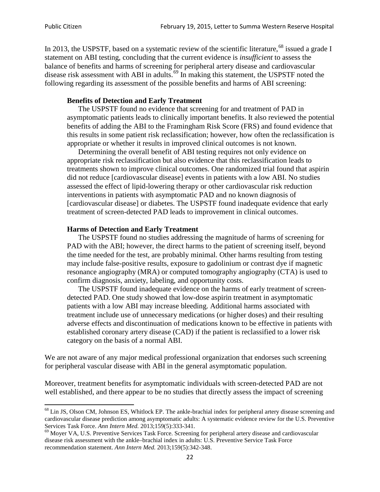In 2013, the USPSTF, based on a systematic review of the scientific literature,<sup>[68](#page-21-0)</sup> issued a grade I statement on ABI testing, concluding that the current evidence is *insufficient* to assess the balance of benefits and harms of screening for peripheral artery disease and cardiovascular disease risk assessment with ABI in adults.<sup>[69](#page-21-1)</sup> In making this statement, the USPSTF noted the following regarding its assessment of the possible benefits and harms of ABI screening:

#### **Benefits of Detection and Early Treatment**

The USPSTF found no evidence that screening for and treatment of PAD in asymptomatic patients leads to clinically important benefits. It also reviewed the potential benefits of adding the ABI to the Framingham Risk Score (FRS) and found evidence that this results in some patient risk reclassification; however, how often the reclassification is appropriate or whether it results in improved clinical outcomes is not known.

Determining the overall benefit of ABI testing requires not only evidence on appropriate risk reclassification but also evidence that this reclassification leads to treatments shown to improve clinical outcomes. One randomized trial found that aspirin did not reduce [cardiovascular disease] events in patients with a low ABI. No studies assessed the effect of lipid-lowering therapy or other cardiovascular risk reduction interventions in patients with asymptomatic PAD and no known diagnosis of [cardiovascular disease] or diabetes. The USPSTF found inadequate evidence that early treatment of screen-detected PAD leads to improvement in clinical outcomes.

#### **Harms of Detection and Early Treatment**

The USPSTF found no studies addressing the magnitude of harms of screening for PAD with the ABI; however, the direct harms to the patient of screening itself, beyond the time needed for the test, are probably minimal. Other harms resulting from testing may include false-positive results, exposure to gadolinium or contrast dye if magnetic resonance angiography (MRA) or computed tomography angiography (CTA) is used to confirm diagnosis, anxiety, labeling, and opportunity costs.

The USPSTF found inadequate evidence on the harms of early treatment of screendetected PAD. One study showed that low-dose aspirin treatment in asymptomatic patients with a low ABI may increase bleeding. Additional harms associated with treatment include use of unnecessary medications (or higher doses) and their resulting adverse effects and discontinuation of medications known to be effective in patients with established coronary artery disease (CAD) if the patient is reclassified to a lower risk category on the basis of a normal ABI.

We are not aware of any major medical professional organization that endorses such screening for peripheral vascular disease with ABI in the general asymptomatic population.

Moreover, treatment benefits for asymptomatic individuals with screen-detected PAD are not well established, and there appear to be no studies that directly assess the impact of screening

<span id="page-21-0"></span><sup>&</sup>lt;sup>68</sup> Lin JS, Olson CM, Johnson ES, Whitlock EP. The ankle-brachial index for peripheral artery disease screening and cardiovascular disease prediction among asymptomatic adults: A systematic evidence review for the U.S. Preventive Services Task Force. *Ann Intern Med.* 2013;159(5):333-341.<br><sup>69</sup> Moyer VA, U.S. Preventive Services Task Force. Screening for peripheral artery disease and cardiovascular

<span id="page-21-1"></span>disease risk assessment with the ankle–brachial index in adults: U.S. Preventive Service Task Force recommendation statement. *Ann Intern Med.* 2013;159(5):342-348.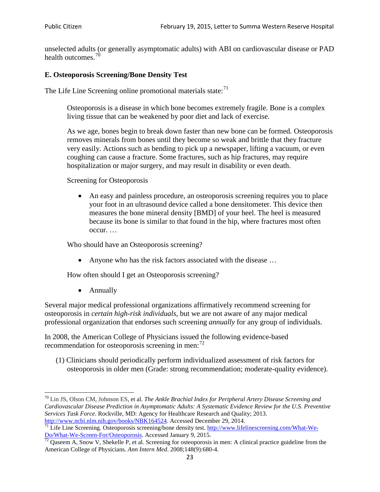unselected adults (or generally asymptomatic adults) with ABI on cardiovascular disease or PAD health outcomes.<sup>[70](#page-22-0)</sup>

### **E. Osteoporosis Screening/Bone Density Test**

The Life Line Screening online promotional materials state: $71$ 

Osteoporosis is a disease in which bone becomes extremely fragile. Bone is a complex living tissue that can be weakened by poor diet and lack of exercise.

As we age, bones begin to break down faster than new bone can be formed. Osteoporosis removes minerals from bones until they become so weak and brittle that they fracture very easily. Actions such as bending to pick up a newspaper, lifting a vacuum, or even coughing can cause a fracture. Some fractures, such as hip fractures, may require hospitalization or major surgery, and may result in disability or even death.

Screening for Osteoporosis

• An easy and painless procedure, an osteoporosis screening requires you to place your foot in an ultrasound device called a bone densitometer. This device then measures the bone mineral density [BMD] of your heel. The heel is measured because its bone is similar to that found in the hip, where fractures most often occur. …

Who should have an Osteoporosis screening?

• Anyone who has the risk factors associated with the disease ...

How often should I get an Osteoporosis screening?

• Annually

Several major medical professional organizations affirmatively recommend screening for osteoporosis in *certain high-risk individuals*, but we are not aware of any major medical professional organization that endorses such screening *annually* for any group of individuals.

In 2008, the American College of Physicians issued the following evidence-based recommendation for osteoporosis screening in men: $^{72}$  $^{72}$  $^{72}$ 

(1) Clinicians should periodically perform individualized assessment of risk factors for osteoporosis in older men (Grade: strong recommendation; moderate-quality evidence).

<span id="page-22-0"></span><sup>70</sup> [Lin JS,](http://www.ncbi.nlm.nih.gov/pubmed?term=Lin%20JS%5BAuthor%5D&cauthor=true&cauthor_uid=24156115) [Olson CM,](http://www.ncbi.nlm.nih.gov/pubmed?term=Olson%20CM%5BAuthor%5D&cauthor=true&cauthor_uid=24156115) [Johnson ES,](http://www.ncbi.nlm.nih.gov/pubmed?term=Johnson%20ES%5BAuthor%5D&cauthor=true&cauthor_uid=24156115) et al. *The Ankle Brachial Index for Peripheral Artery Disease Screening and Cardiovascular Disease Prediction in Asymptomatic Adults: A Systematic Evidence Review for the U.S. Preventive Services Task Force*. Rockville, MD: Agency for Healthcare Research and Quality; 2013.<br>http://www.ncbi.nlm.nih.gov/books/NBK164524. Accessed December 29, 2014.

<span id="page-22-1"></span> $\frac{1}{71}$  Life Line Screening. Osteoporosis screening/bone density test. [http://www.lifelinescreening.com/What-We-](http://www.lifelinescreening.com/What-We-Do/What-We-Screen-For/Osteoporosis)[Do/What-We-Screen-For/Osteoporosis.](http://www.lifelinescreening.com/What-We-Do/What-We-Screen-For/Osteoporosis) Accessed January 9, 2015. <sup>72</sup> Qaseem A, Snow V, Shekelle P, et al. Screening for osteoporosis in men: A clinical practice guideline from the

<span id="page-22-2"></span>American College of Physicians. *Ann Intern Med*. 2008;148(9):680-4.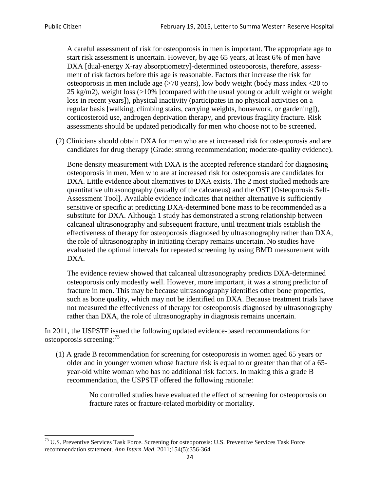A careful assessment of risk for osteoporosis in men is important. The appropriate age to start risk assessment is uncertain. However, by age 65 years, at least 6% of men have DXA [dual-energy X-ray absorptiometry]-determined osteoporosis, therefore, assessment of risk factors before this age is reasonable. Factors that increase the risk for osteoporosis in men include age (>70 years), low body weight (body mass index <20 to 25 kg/m2), weight loss  $\langle$  >10% [compared with the usual young or adult weight or weight loss in recent years]), physical inactivity (participates in no physical activities on a regular basis [walking, climbing stairs, carrying weights, housework, or gardening]), corticosteroid use, androgen deprivation therapy, and previous fragility fracture. Risk assessments should be updated periodically for men who choose not to be screened.

(2) Clinicians should obtain DXA for men who are at increased risk for osteoporosis and are candidates for drug therapy (Grade: strong recommendation; moderate-quality evidence).

Bone density measurement with DXA is the accepted reference standard for diagnosing osteoporosis in men. Men who are at increased risk for osteoporosis are candidates for DXA. Little evidence about alternatives to DXA exists. The 2 most studied methods are quantitative ultrasonography (usually of the calcaneus) and the OST [Osteoporosis Self-Assessment Tool]. Available evidence indicates that neither alternative is sufficiently sensitive or specific at predicting DXA-determined bone mass to be recommended as a substitute for DXA. Although 1 study has demonstrated a strong relationship between calcaneal ultrasonography and subsequent fracture, until treatment trials establish the effectiveness of therapy for osteoporosis diagnosed by ultrasonography rather than DXA, the role of ultrasonography in initiating therapy remains uncertain. No studies have evaluated the optimal intervals for repeated screening by using BMD measurement with DXA.

The evidence review showed that calcaneal ultrasonography predicts DXA-determined osteoporosis only modestly well. However, more important, it was a strong predictor of fracture in men. This may be because ultrasonography identifies other bone properties, such as bone quality, which may not be identified on DXA. Because treatment trials have not measured the effectiveness of therapy for osteoporosis diagnosed by ultrasonography rather than DXA, the role of ultrasonography in diagnosis remains uncertain.

In 2011, the USPSTF issued the following updated evidence-based recommendations for osteoporosis screening:<sup>[73](#page-23-0)</sup>

(1) A grade B recommendation for screening for osteoporosis in women aged 65 years or older and in younger women whose fracture risk is equal to or greater than that of a 65 year-old white woman who has no additional risk factors. In making this a grade B recommendation, the USPSTF offered the following rationale:

> No controlled studies have evaluated the effect of screening for osteoporosis on fracture rates or fracture-related morbidity or mortality.

<span id="page-23-0"></span><sup>&</sup>lt;sup>73</sup> U.S. Preventive Services Task Force. Screening for osteoporosis: U.S. Preventive Services Task Force recommendation statement. *Ann Intern Med*. 2011;154(5):356-364.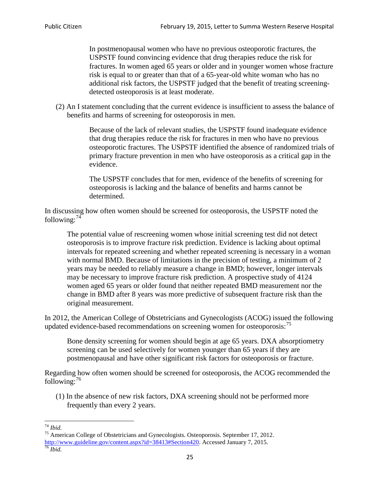In postmenopausal women who have no previous osteoporotic fractures, the USPSTF found convincing evidence that drug therapies reduce the risk for fractures. In women aged 65 years or older and in younger women whose fracture risk is equal to or greater than that of a 65-year-old white woman who has no additional risk factors, the USPSTF judged that the benefit of treating screeningdetected osteoporosis is at least moderate.

(2) An I statement concluding that the current evidence is insufficient to assess the balance of benefits and harms of screening for osteoporosis in men.

> Because of the lack of relevant studies, the USPSTF found inadequate evidence that drug therapies reduce the risk for fractures in men who have no previous osteoporotic fractures. The USPSTF identified the absence of randomized trials of primary fracture prevention in men who have osteoporosis as a critical gap in the evidence.

The USPSTF concludes that for men, evidence of the benefits of screening for osteoporosis is lacking and the balance of benefits and harms cannot be determined.

In discussing how often women should be screened for osteoporosis, the USPSTF noted the following: $74$ 

The potential value of rescreening women whose initial screening test did not detect osteoporosis is to improve fracture risk prediction. Evidence is lacking about optimal intervals for repeated screening and whether repeated screening is necessary in a woman with normal BMD. Because of limitations in the precision of testing, a minimum of 2 years may be needed to reliably measure a change in BMD; however, longer intervals may be necessary to improve fracture risk prediction. A prospective study of 4124 women aged 65 years or older found that neither repeated BMD measurement nor the change in BMD after 8 years was more predictive of subsequent fracture risk than the original measurement.

In 2012, the American College of Obstetricians and Gynecologists (ACOG) issued the following updated evidence-based recommendations on screening women for osteoporosis:<sup>[75](#page-24-1)</sup>

Bone density screening for women should begin at age 65 years. DXA absorptiometry screening can be used selectively for women younger than 65 years if they are postmenopausal and have other significant risk factors for osteoporosis or fracture.

Regarding how often women should be screened for osteoporosis, the ACOG recommended the following: $^{76}$  $^{76}$  $^{76}$ 

(1) In the absence of new risk factors, DXA screening should not be performed more frequently than every 2 years.

<span id="page-24-2"></span><span id="page-24-1"></span><span id="page-24-0"></span><sup>74</sup> *Ibid.* <sup>75</sup> American College of Obstetricians and Gynecologists. Osteoporosis. September 17, 2012. [http://www.guideline.gov/content.aspx?id=38413#Section420.](http://www.guideline.gov/content.aspx?id=38413#Section420) Accessed January 7, 2015.<br><sup>76</sup> *Ibid.*